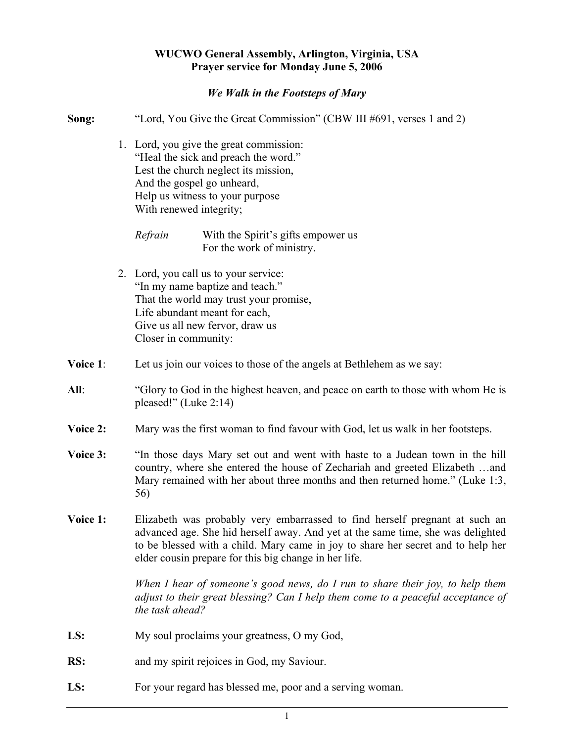## **WUCWO General Assembly, Arlington, Virginia, USA Prayer service for Monday June 5, 2006**

## *We Walk in the Footsteps of Mary*

| Song:    | "Lord, You Give the Great Commission" (CBW III #691, verses 1 and 2)                                                                                                                                                                                                                                        |
|----------|-------------------------------------------------------------------------------------------------------------------------------------------------------------------------------------------------------------------------------------------------------------------------------------------------------------|
|          | 1. Lord, you give the great commission:<br>"Heal the sick and preach the word."<br>Lest the church neglect its mission,<br>And the gospel go unheard,<br>Help us witness to your purpose<br>With renewed integrity;                                                                                         |
|          | Refrain<br>With the Spirit's gifts empower us<br>For the work of ministry.                                                                                                                                                                                                                                  |
|          | 2. Lord, you call us to your service:<br>"In my name baptize and teach."<br>That the world may trust your promise,<br>Life abundant meant for each,<br>Give us all new fervor, draw us<br>Closer in community:                                                                                              |
| Voice 1: | Let us join our voices to those of the angels at Bethlehem as we say:                                                                                                                                                                                                                                       |
| All:     | "Glory to God in the highest heaven, and peace on earth to those with whom He is<br>pleased!" (Luke 2:14)                                                                                                                                                                                                   |
| Voice 2: | Mary was the first woman to find favour with God, let us walk in her footsteps.                                                                                                                                                                                                                             |
| Voice 3: | "In those days Mary set out and went with haste to a Judean town in the hill<br>country, where she entered the house of Zechariah and greeted Elizabeth and<br>Mary remained with her about three months and then returned home." (Luke 1:3,<br>56)                                                         |
| Voice 1: | Elizabeth was probably very embarrassed to find herself pregnant at such an<br>advanced age. She hid herself away. And yet at the same time, she was delighted<br>to be blessed with a child. Mary came in joy to share her secret and to help her<br>elder cousin prepare for this big change in her life. |
|          | When I hear of someone's good news, do I run to share their joy, to help them<br>adjust to their great blessing? Can I help them come to a peaceful acceptance of<br>the task ahead?                                                                                                                        |
| LS:      | My soul proclaims your greatness, O my God,                                                                                                                                                                                                                                                                 |
| RS:      | and my spirit rejoices in God, my Saviour.                                                                                                                                                                                                                                                                  |
| LS:      | For your regard has blessed me, poor and a serving woman.                                                                                                                                                                                                                                                   |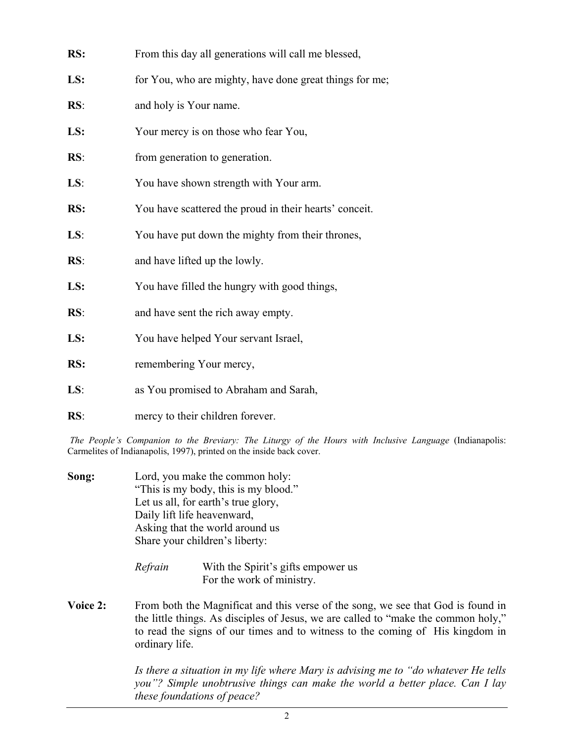| RS: | From this day all generations will call me blessed,     |
|-----|---------------------------------------------------------|
| LS: | for You, who are mighty, have done great things for me; |
| RS: | and holy is Your name.                                  |
| LS: | Your mercy is on those who fear You,                    |
| RS: | from generation to generation.                          |
| LS: | You have shown strength with Your arm.                  |
| RS: | You have scattered the proud in their hearts' conceit.  |
| LS: | You have put down the mighty from their thrones,        |
| RS: | and have lifted up the lowly.                           |
| LS: | You have filled the hungry with good things,            |
| RS: | and have sent the rich away empty.                      |
| LS: | You have helped Your servant Israel,                    |
| RS: | remembering Your mercy,                                 |
| LS: | as You promised to Abraham and Sarah,                   |
| RS: | mercy to their children forever.                        |

*The People's Companion to the Breviary: The Liturgy of the Hours with Inclusive Language* (Indianapolis: Carmelites of Indianapolis, 1997), printed on the inside back cover.

- **Song:** Lord, you make the common holy: "This is my body, this is my blood." Let us all, for earth's true glory, Daily lift life heavenward, Asking that the world around us Share your children's liberty:
	- *Refrain* With the Spirit's gifts empower us For the work of ministry.
- **Voice 2:** From both the Magnificat and this verse of the song, we see that God is found in the little things. As disciples of Jesus, we are called to "make the common holy," to read the signs of our times and to witness to the coming of His kingdom in ordinary life.

*Is there a situation in my life where Mary is advising me to "do whatever He tells you"? Simple unobtrusive things can make the world a better place. Can I lay these foundations of peace?*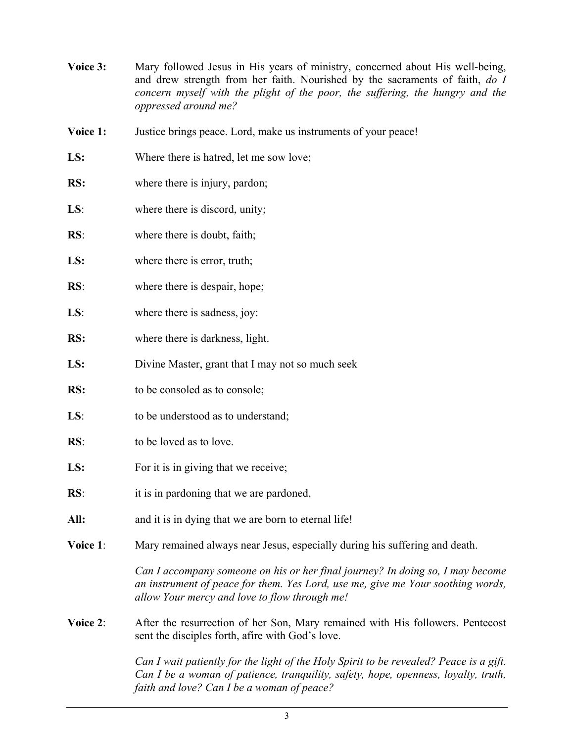- **Voice 3:** Mary followed Jesus in His years of ministry, concerned about His well-being, and drew strength from her faith. Nourished by the sacraments of faith, *do I concern myself with the plight of the poor, the suffering, the hungry and the oppressed around me?*
- **Voice 1:** Justice brings peace. Lord, make us instruments of your peace!
- LS: Where there is hatred, let me sow love;
- **RS:** where there is injury, pardon;
- **LS**: where there is discord, unity;
- **RS**: where there is doubt, faith;
- **LS:** where there is error, truth;
- **RS:** where there is despair, hope;
- **LS**: where there is sadness, joy:
- **RS:** where there is darkness, light.
- **LS:** Divine Master, grant that I may not so much seek
- **RS:** to be consoled as to console;
- LS: to be understood as to understand;
- **RS:** to be loved as to love.
- **LS:** For it is in giving that we receive;
- **RS**: it is in pardoning that we are pardoned,
- All: and it is in dying that we are born to eternal life!
- **Voice 1**: Mary remained always near Jesus, especially during his suffering and death.

*Can I accompany someone on his or her final journey? In doing so, I may become an instrument of peace for them. Yes Lord, use me, give me Your soothing words, allow Your mercy and love to flow through me!*

**Voice 2**: After the resurrection of her Son, Mary remained with His followers. Pentecost sent the disciples forth, afire with God's love.

> *Can I wait patiently for the light of the Holy Spirit to be revealed? Peace is a gift. Can I be a woman of patience, tranquility, safety, hope, openness, loyalty, truth, faith and love? Can I be a woman of peace?*